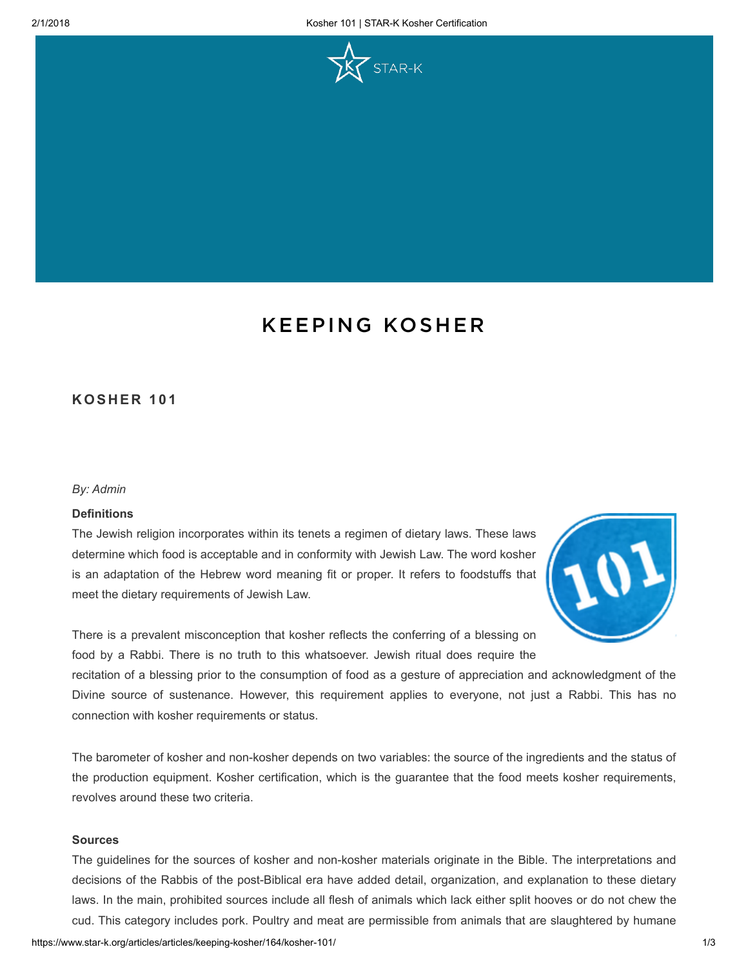

# [KEEPING](https://www.star-k.org/articles/category/articles/keeping-kosher/) KOSHER

# KOSHER 101

### By: Admin

## **Definitions**

The Jewish religion incorporates within its tenets a regimen of dietary laws. These laws determine which food is acceptable and in conformity with Jewish Law. The word kosher is an adaptation of the Hebrew word meaning fit or proper. It refers to foodstuffs that meet the dietary requirements of Jewish Law.



There is a prevalent misconception that kosher reflects the conferring of a blessing on food by a Rabbi. There is no truth to this whatsoever. Jewish ritual does require the

recitation of a blessing prior to the consumption of food as a gesture of appreciation and acknowledgment of the Divine source of sustenance. However, this requirement applies to everyone, not just a Rabbi. This has no connection with kosher requirements or status.

The barometer of kosher and non-kosher depends on two variables: the source of the ingredients and the status of the production equipment. Kosher certification, which is the guarantee that the food meets kosher requirements, revolves around these two criteria.

#### Sources

The guidelines for the sources of kosher and non-kosher materials originate in the Bible. The interpretations and decisions of the Rabbis of the post-Biblical era have added detail, organization, and explanation to these dietary laws. In the main, prohibited sources include all flesh of animals which lack either split hooves or do not chew the cud. This category includes pork. Poultry and meat are permissible from animals that are slaughtered by humane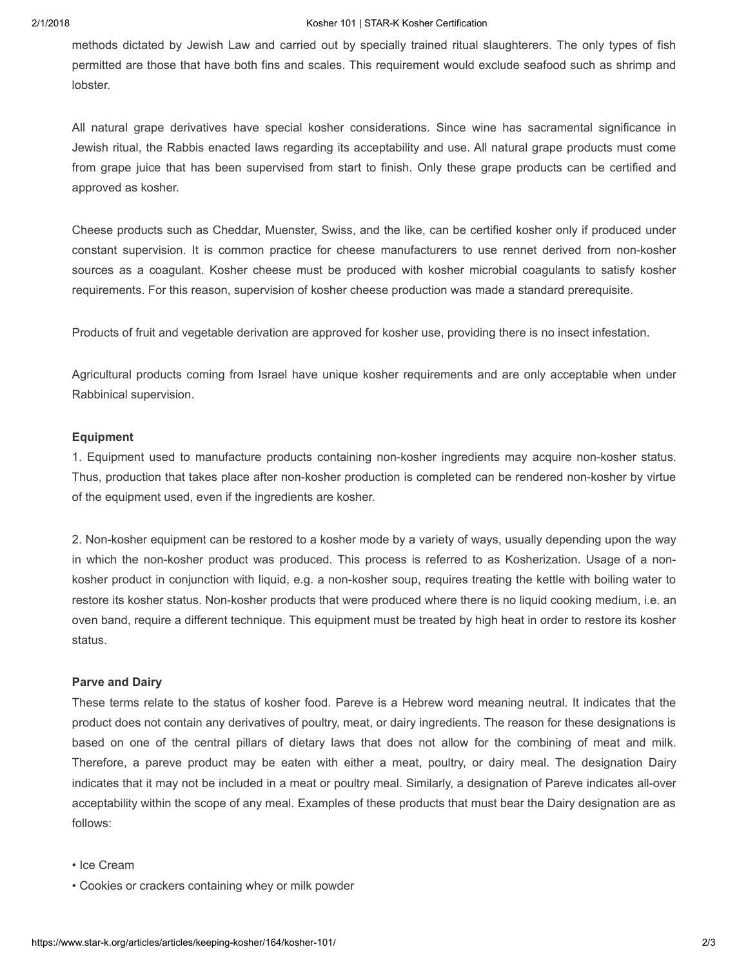#### 2/1/2018 Kosher 101 | STAR-K Kosher Certification

methods dictated by Jewish Law and carried out by specially trained ritual slaughterers. The only types of fish permitted are those that have both fins and scales. This requirement would exclude seafood such as shrimp and lobster.

All natural grape derivatives have special kosher considerations. Since wine has sacramental significance in Jewish ritual, the Rabbis enacted laws regarding its acceptability and use. All natural grape products must come from grape juice that has been supervised from start to finish. Only these grape products can be certified and approved as kosher.

Cheese products such as Cheddar, Muenster, Swiss, and the like, can be certified kosher only if produced under constant supervision. It is common practice for cheese manufacturers to use rennet derived from non-kosher sources as a coagulant. Kosher cheese must be produced with kosher microbial coagulants to satisfy kosher requirements. For this reason, supervision of kosher cheese production was made a standard prerequisite.

Products of fruit and vegetable derivation are approved for kosher use, providing there is no insect infestation.

Agricultural products coming from Israel have unique kosher requirements and are only acceptable when under Rabbinical supervision.

#### Equipment

1. Equipment used to manufacture products containing non-kosher ingredients may acquire non-kosher status. Thus, production that takes place after non-kosher production is completed can be rendered non-kosher by virtue of the equipment used, even if the ingredients are kosher.

2. Non-kosher equipment can be restored to a kosher mode by a variety of ways, usually depending upon the way in which the non-kosher product was produced. This process is referred to as Kosherization. Usage of a nonkosher product in conjunction with liquid, e.g. a non-kosher soup, requires treating the kettle with boiling water to restore its kosher status. Non-kosher products that were produced where there is no liquid cooking medium, i.e. an oven band, require a different technique. This equipment must be treated by high heat in order to restore its kosher status.

#### Parve and Dairy

These terms relate to the status of kosher food. Pareve is a Hebrew word meaning neutral. It indicates that the product does not contain any derivatives of poultry, meat, or dairy ingredients. The reason for these designations is based on one of the central pillars of dietary laws that does not allow for the combining of meat and milk. Therefore, a pareve product may be eaten with either a meat, poultry, or dairy meal. The designation Dairy indicates that it may not be included in a meat or poultry meal. Similarly, a designation of Pareve indicates all-over acceptability within the scope of any meal. Examples of these products that must bear the Dairy designation are as follows:

- Ice Cream
- Cookies or crackers containing whey or milk powder